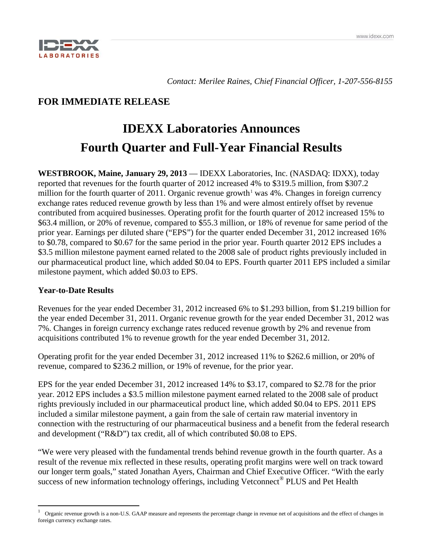

*Contact: Merilee Raines, Chief Financial Officer, 1-207-556-8155*

## **FOR IMMEDIATE RELEASE**

# **IDEXX Laboratories Announces Fourth Quarter and Full-Year Financial Results**

**WESTBROOK, Maine, January 29, 2013** — IDEXX Laboratories, Inc. (NASDAQ: IDXX), today reported that revenues for the fourth quarter of 2012 increased 4% to \$319.5 million, from \$307.2 million for the fourth quarter of 20[1](#page-0-0)1. Organic revenue growth<sup>1</sup> was  $4\%$ . Changes in foreign currency exchange rates reduced revenue growth by less than 1% and were almost entirely offset by revenue contributed from acquired businesses. Operating profit for the fourth quarter of 2012 increased 15% to \$63.4 million, or 20% of revenue, compared to \$55.3 million, or 18% of revenue for same period of the prior year. Earnings per diluted share ("EPS") for the quarter ended December 31, 2012 increased 16% to \$0.78, compared to \$0.67 for the same period in the prior year. Fourth quarter 2012 EPS includes a \$3.5 million milestone payment earned related to the 2008 sale of product rights previously included in our pharmaceutical product line, which added \$0.04 to EPS. Fourth quarter 2011 EPS included a similar milestone payment, which added \$0.03 to EPS.

## **Year-to-Date Results**

Revenues for the year ended December 31, 2012 increased 6% to \$1.293 billion, from \$1.219 billion for the year ended December 31, 2011. Organic revenue growth for the year ended December 31, 2012 was 7%. Changes in foreign currency exchange rates reduced revenue growth by 2% and revenue from acquisitions contributed 1% to revenue growth for the year ended December 31, 2012.

Operating profit for the year ended December 31, 2012 increased 11% to \$262.6 million, or 20% of revenue, compared to \$236.2 million, or 19% of revenue, for the prior year.

EPS for the year ended December 31, 2012 increased 14% to \$3.17, compared to \$2.78 for the prior year. 2012 EPS includes a \$3.5 million milestone payment earned related to the 2008 sale of product rights previously included in our pharmaceutical product line, which added \$0.04 to EPS. 2011 EPS included a similar milestone payment, a gain from the sale of certain raw material inventory in connection with the restructuring of our pharmaceutical business and a benefit from the federal research and development ("R&D") tax credit, all of which contributed \$0.08 to EPS.

"We were very pleased with the fundamental trends behind revenue growth in the fourth quarter. As a result of the revenue mix reflected in these results, operating profit margins were well on track toward our longer term goals," stated Jonathan Ayers, Chairman and Chief Executive Officer. "With the early success of new information technology offerings, including Vetconnect® PLUS and Pet Health

<span id="page-0-0"></span><sup>&</sup>lt;sup>1</sup> Organic revenue growth is a non-U.S. GAAP measure and represents the percentage change in revenue net of acquisitions and the effect of changes in foreign currency exchange rates.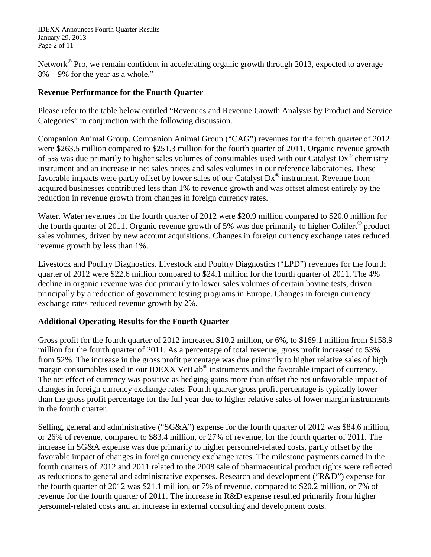IDEXX Announces Fourth Quarter Results January 29, 2013 Page 2 of 11

Network<sup>®</sup> Pro, we remain confident in accelerating organic growth through 2013, expected to average 8% – 9% for the year as a whole."

## **Revenue Performance for the Fourth Quarter**

Please refer to the table below entitled "Revenues and Revenue Growth Analysis by Product and Service Categories" in conjunction with the following discussion.

Companion Animal Group. Companion Animal Group ("CAG") revenues for the fourth quarter of 2012 were \$263.5 million compared to \$251.3 million for the fourth quarter of 2011. Organic revenue growth of 5% was due primarily to higher sales volumes of consumables used with our Catalyst Dx® chemistry instrument and an increase in net sales prices and sales volumes in our reference laboratories. These favorable impacts were partly offset by lower sales of our Catalyst  $Dx^{\circledcirc}$  instrument. Revenue from acquired businesses contributed less than 1% to revenue growth and was offset almost entirely by the reduction in revenue growth from changes in foreign currency rates.

Water. Water revenues for the fourth quarter of 2012 were \$20.9 million compared to \$20.0 million for the fourth quarter of 2011. Organic revenue growth of 5% was due primarily to higher Colilert<sup>®</sup> product sales volumes, driven by new account acquisitions. Changes in foreign currency exchange rates reduced revenue growth by less than 1%.

Livestock and Poultry Diagnostics. Livestock and Poultry Diagnostics ("LPD") revenues for the fourth quarter of 2012 were \$22.6 million compared to \$24.1 million for the fourth quarter of 2011. The 4% decline in organic revenue was due primarily to lower sales volumes of certain bovine tests, driven principally by a reduction of government testing programs in Europe. Changes in foreign currency exchange rates reduced revenue growth by 2%.

## **Additional Operating Results for the Fourth Quarter**

Gross profit for the fourth quarter of 2012 increased \$10.2 million, or 6%, to \$169.1 million from \$158.9 million for the fourth quarter of 2011. As a percentage of total revenue, gross profit increased to 53% from 52%. The increase in the gross profit percentage was due primarily to higher relative sales of high margin consumables used in our IDEXX VetLab<sup>®</sup> instruments and the favorable impact of currency. The net effect of currency was positive as hedging gains more than offset the net unfavorable impact of changes in foreign currency exchange rates. Fourth quarter gross profit percentage is typically lower than the gross profit percentage for the full year due to higher relative sales of lower margin instruments in the fourth quarter.

Selling, general and administrative ("SG&A") expense for the fourth quarter of 2012 was \$84.6 million, or 26% of revenue, compared to \$83.4 million, or 27% of revenue, for the fourth quarter of 2011. The increase in SG&A expense was due primarily to higher personnel-related costs, partly offset by the favorable impact of changes in foreign currency exchange rates. The milestone payments earned in the fourth quarters of 2012 and 2011 related to the 2008 sale of pharmaceutical product rights were reflected as reductions to general and administrative expenses. Research and development ("R&D") expense for the fourth quarter of 2012 was \$21.1 million, or 7% of revenue, compared to \$20.2 million, or 7% of revenue for the fourth quarter of 2011. The increase in R&D expense resulted primarily from higher personnel-related costs and an increase in external consulting and development costs.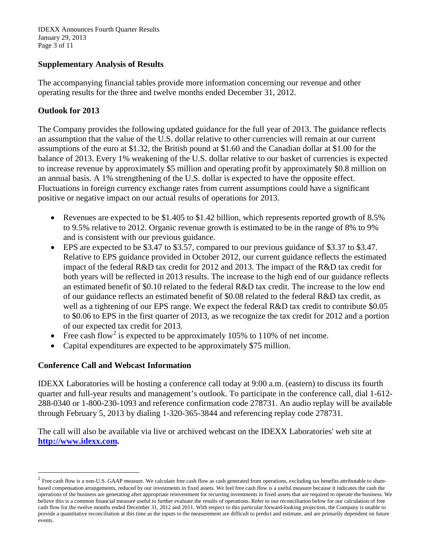IDEXX Announces Fourth Quarter Results January 29, 2013 Page 3 of 11

## **Supplementary Analysis of Results**

The accompanying financial tables provide more information concerning our revenue and other operating results for the three and twelve months ended December 31, 2012.

## **Outlook for 2013**

The Company provides the following updated guidance for the full year of 2013. The guidance reflects an assumption that the value of the U.S. dollar relative to other currencies will remain at our current assumptions of the euro at \$1.32, the British pound at \$1.60 and the Canadian dollar at \$1.00 for the balance of 2013. Every 1% weakening of the U.S. dollar relative to our basket of currencies is expected to increase revenue by approximately \$5 million and operating profit by approximately \$0.8 million on an annual basis. A 1% strengthening of the U.S. dollar is expected to have the opposite effect. Fluctuations in foreign currency exchange rates from current assumptions could have a significant positive or negative impact on our actual results of operations for 2013.

- Revenues are expected to be \$1.405 to \$1.42 billion, which represents reported growth of 8.5% to 9.5% relative to 2012. Organic revenue growth is estimated to be in the range of 8% to 9% and is consistent with our previous guidance.
- EPS are expected to be \$3.47 to \$3.57, compared to our previous guidance of \$3.37 to \$3.47. Relative to EPS guidance provided in October 2012, our current guidance reflects the estimated impact of the federal R&D tax credit for 2012 and 2013. The impact of the R&D tax credit for both years will be reflected in 2013 results. The increase to the high end of our guidance reflects an estimated benefit of \$0.10 related to the federal R&D tax credit. The increase to the low end of our guidance reflects an estimated benefit of \$0.08 related to the federal R&D tax credit, as well as a tightening of our EPS range. We expect the federal R&D tax credit to contribute \$0.05 to \$0.06 to EPS in the first quarter of 2013, as we recognize the tax credit for 2012 and a portion of our expected tax credit for 2013.
- Free cash flow<sup>[2](#page-2-0)</sup> is expected to be approximately 105% to 110% of net income.
- Capital expenditures are expected to be approximately \$75 million.

## **Conference Call and Webcast Information**

IDEXX Laboratories will be hosting a conference call today at 9:00 a.m. (eastern) to discuss its fourth quarter and full-year results and management's outlook. To participate in the conference call, dial 1-612- 288-0340 or 1-800-230-1093 and reference confirmation code 278731. An audio replay will be available through February 5, 2013 by dialing 1-320-365-3844 and referencing replay code 278731.

The call will also be available via live or archived webcast on the IDEXX Laboratories' web site at **[http://www.idexx.com.](http://www.idexx.com/)**

<span id="page-2-0"></span> $2$  Free cash flow is a non-U.S. GAAP measure. We calculate free cash flow as cash generated from operations, excluding tax benefits attributable to sharebased compensation arrangements, reduced by our investments in fixed assets. We feel free cash flow is a useful measure because it indicates the cash the operations of the business are generating after appropriate reinvestment for recurring investments in fixed assets that are required to operate the business. We believe this is a common financial measure useful to further evaluate the results of operations. Refer to our reconciliation below for our calculation of free cash flow for the twelve months ended December 31, 2012 and 2011. With respect to this particular forward-looking projection, the Company is unable to provide a quantitative reconciliation at this time as the inputs to the measurement are difficult to predict and estimate, and are primarily dependent on future events.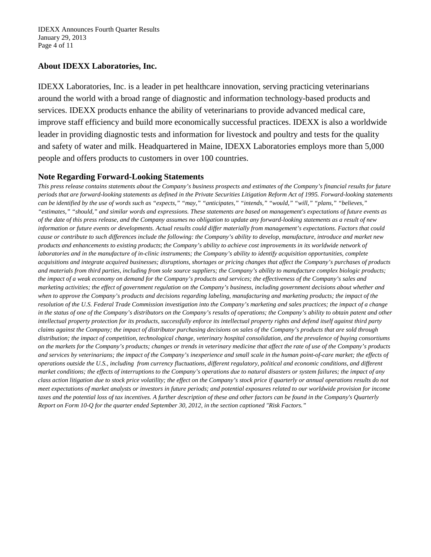## **About IDEXX Laboratories, Inc.**

IDEXX Laboratories, Inc. is a leader in pet healthcare innovation, serving practicing veterinarians around the world with a broad range of diagnostic and information technology-based products and services. IDEXX products enhance the ability of veterinarians to provide advanced medical care, improve staff efficiency and build more economically successful practices. IDEXX is also a worldwide leader in providing diagnostic tests and information for livestock and poultry and tests for the quality and safety of water and milk. Headquartered in Maine, IDEXX Laboratories employs more than 5,000 people and offers products to customers in over 100 countries.

### **Note Regarding Forward-Looking Statements**

*This press release contains statements about the Company's business prospects and estimates of the Company's financial results for future periods that are forward-looking statements as defined in the Private Securities Litigation Reform Act of 1995. Forward-looking statements can be identified by the use of words such as "expects," "may," "anticipates," "intends," "would," "will," "plans," "believes," "estimates," "should," and similar words and expressions. These statements are based on management's expectations of future events as of the date of this press release, and the Company assumes no obligation to update any forward-looking statements as a result of new information or future events or developments. Actual results could differ materially from management's expectations. Factors that could cause or contribute to such differences include the following: the Company's ability to develop, manufacture, introduce and market new products and enhancements to existing products*; *the Company's ability to achieve cost improvements in its worldwide network of laboratories and in the manufacture of in-clinic instruments; the Company's ability to identify acquisition opportunities, complete acquisitions and integrate acquired businesses; disruptions, shortages or pricing changes that affect the Company's purchases of products*  and materials from third parties, including from sole source suppliers; the Company's ability to manufacture complex biologic products; *the impact of a weak economy on demand for the Company's products and services; the effectiveness of the Company's sales and marketing activities; the effect of government regulation on the Company's business, including government decisions about whether and*  when to approve the Company's products and decisions regarding labeling, manufacturing and marketing products; the impact of the *resolution of the U.S. Federal Trade Commission investigation into the Company's marketing and sales practices; the impact of a change in the status of one of the Company's distributors on the Company's results of operations; the Company's ability to obtain patent and other intellectual property protection for its products, successfully enforce its intellectual property rights and defend itself against third party claims against the Company; the impact of distributor purchasing decisions on sales of the Company's products that are sold through distribution; the impact of competition, technological change, veterinary hospital consolidation, and the prevalence of buying consortiums on the markets for the Company's products; changes or trends in veterinary medicine that affect the rate of use of the Company's products and services by veterinarians; the impact of the Company's inexperience and small scale in the human point-of-care market; the effects of operations outside the U.S., including from currency fluctuations, different regulatory, political and economic conditions, and different market conditions; the effects of interruptions to the Company's operations due to natural disasters or system failures; the impact of any class action litigation due to stock price volatility; the effect on the Company's stock price if quarterly or annual operations results do not meet expectations of market analysts or investors in future periods; and potential exposures related to our worldwide provision for income taxes and the potential loss of tax incentives. A further description of these and other factors can be found in the Company's Quarterly Report on Form 10-Q for the quarter ended September 30, 2012, in the section captioned "Risk Factors."*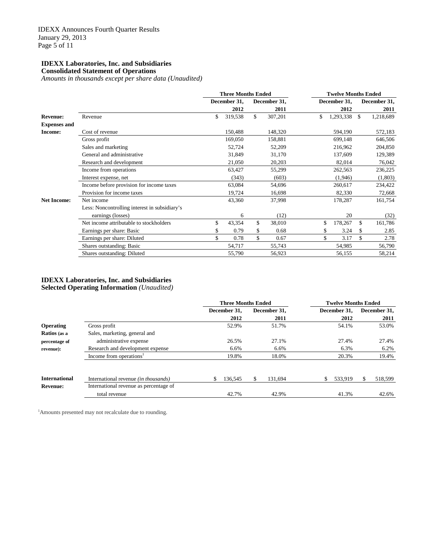#### **IDEXX Laboratories, Inc. and Subsidiaries Consolidated Statement of Operations**

*Amounts in thousands except per share data (Unaudited)*

|                     |                                               | <b>Three Months Ended</b> |               |                 | <b>Twelve Months Ended</b> |              |  |
|---------------------|-----------------------------------------------|---------------------------|---------------|-----------------|----------------------------|--------------|--|
|                     |                                               | December 31,              | December 31,  | December 31,    |                            | December 31, |  |
|                     |                                               | 2012                      | 2011          | 2012            |                            | 2011         |  |
| <b>Revenue:</b>     | Revenue                                       | \$<br>319,538             | \$<br>307,201 | \$<br>1,293,338 | \$                         | 1,218,689    |  |
| <b>Expenses and</b> |                                               |                           |               |                 |                            |              |  |
| Income:             | Cost of revenue                               | 150,488                   | 148,320       | 594,190         |                            | 572,183      |  |
|                     | Gross profit                                  | 169,050                   | 158,881       | 699,148         |                            | 646,506      |  |
|                     | Sales and marketing                           | 52,724                    | 52,209        | 216,962         |                            | 204,850      |  |
|                     | General and administrative                    | 31,849                    | 31,170        | 137,609         |                            | 129,389      |  |
|                     | Research and development                      | 21,050                    | 20,203        | 82,014          |                            | 76,042       |  |
|                     | Income from operations                        | 63,427                    | 55,299        | 262,563         |                            | 236,225      |  |
|                     | Interest expense, net                         | (343)                     | (603)         | (1,946)         |                            | (1,803)      |  |
|                     | Income before provision for income taxes      | 63,084                    | 54,696        | 260,617         |                            | 234,422      |  |
|                     | Provision for income taxes                    | 19,724                    | 16,698        | 82,330          |                            | 72,668       |  |
| <b>Net Income:</b>  | Net income                                    | 43,360                    | 37,998        | 178,287         |                            | 161,754      |  |
|                     | Less: Noncontrolling interest in subsidiary's |                           |               |                 |                            |              |  |
|                     | earnings (losses)                             | 6                         | (12)          | 20              |                            | (32)         |  |
|                     | Net income attributable to stockholders       | \$<br>43,354              | \$<br>38,010  | \$<br>178,267   | \$                         | 161,786      |  |
|                     | Earnings per share: Basic                     | \$<br>0.79                | \$<br>0.68    | \$<br>3.24      | \$                         | 2.85         |  |
|                     | Earnings per share: Diluted                   | \$<br>0.78                | \$<br>0.67    | \$<br>3.17      | \$                         | 2.78         |  |
|                     | <b>Shares outstanding: Basic</b>              | 54,717                    | 55,743        | 54,985          |                            | 56,790       |  |
|                     | Shares outstanding: Diluted                   | 55,790                    | 56,923        | 56,155          |                            | 58,214       |  |

#### **IDEXX Laboratories, Inc. and Subsidiaries Selected Operating Information** *(Unaudited)*

**Three Months Ended Twelve Months Ended December 31, December 31, December 31, December 31, 2012 2011 2012 2011 Operating** Gross profit 63.0% 52.9% 51.7% 54.1% 53.0% **Ratios (as a** Sales, marketing, general and **percentage of** administrative expense 26.5% 27.1% 27.4% 27.4% 27.4% **revenue):** Research and development expense 6.6% 6.6% 6.6% 6.3% 6.2% 6.2% Income from operations<sup>1</sup> 19.8% 18.0% 20.3% 19.4% **International** International revenue *(in thousands)* \$ 136,545 \$ 131,694 \$ 533,919 \$ 518,599 **Revenue:** International revenue as percentage of total revenue 42.7% 42.9% 41.3% 42.6%

1 Amounts presented may not recalculate due to rounding.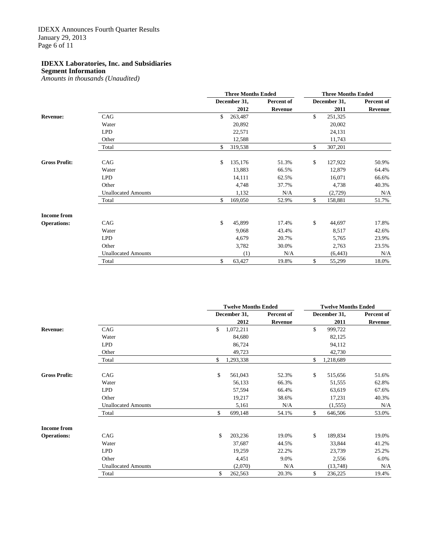**Segment Information**

*Amounts in thousands (Unaudited)*

|                      |                            | <b>Three Months Ended</b> |                | <b>Three Months Ended</b> |            |  |
|----------------------|----------------------------|---------------------------|----------------|---------------------------|------------|--|
|                      |                            | December 31,              | Percent of     | December 31,              | Percent of |  |
|                      |                            | 2012                      | <b>Revenue</b> | 2011                      | Revenue    |  |
| <b>Revenue:</b>      | CAG                        | \$<br>263,487             |                | \$<br>251,325             |            |  |
|                      | Water                      | 20,892                    |                | 20,002                    |            |  |
|                      | <b>LPD</b>                 | 22,571                    |                | 24,131                    |            |  |
|                      | Other                      | 12,588                    |                | 11,743                    |            |  |
|                      | Total                      | \$<br>319,538             |                | \$<br>307,201             |            |  |
| <b>Gross Profit:</b> | CAG                        | \$<br>135,176             | 51.3%          | \$<br>127,922             | 50.9%      |  |
|                      | Water                      | 13,883                    | 66.5%          | 12,879                    | 64.4%      |  |
|                      | <b>LPD</b>                 | 14,111                    | 62.5%          | 16,071                    | 66.6%      |  |
|                      | Other                      | 4,748                     | 37.7%          | 4,738                     | 40.3%      |  |
|                      | <b>Unallocated Amounts</b> | 1,132                     | N/A            | (2,729)                   | N/A        |  |
|                      | Total                      | \$<br>169,050             | 52.9%          | \$<br>158,881             | 51.7%      |  |
| <b>Income from</b>   |                            |                           |                |                           |            |  |
| <b>Operations:</b>   | CAG                        | \$<br>45,899              | 17.4%          | \$<br>44,697              | 17.8%      |  |
|                      | Water                      | 9,068                     | 43.4%          | 8,517                     | 42.6%      |  |
|                      | <b>LPD</b>                 | 4,679                     | 20.7%          | 5,765                     | 23.9%      |  |
|                      | Other                      | 3,782                     | 30.0%          | 2,763                     | 23.5%      |  |
|                      | <b>Unallocated Amounts</b> | (1)                       | N/A            | (6, 443)                  | N/A        |  |
|                      | Total                      | \$<br>63,427              | 19.8%          | \$<br>55,299              | 18.0%      |  |

|                      |                            | <b>Twelve Months Ended</b> |                |    |              | <b>Twelve Months Ended</b> |  |
|----------------------|----------------------------|----------------------------|----------------|----|--------------|----------------------------|--|
|                      |                            | December 31,               | Percent of     |    | December 31, | Percent of                 |  |
|                      |                            | 2012                       | <b>Revenue</b> |    | 2011         | <b>Revenue</b>             |  |
| <b>Revenue:</b>      | CAG                        | \$<br>1,072,211            |                | \$ | 999,722      |                            |  |
|                      | Water                      | 84,680                     |                |    | 82,125       |                            |  |
|                      | <b>LPD</b>                 | 86,724                     |                |    | 94,112       |                            |  |
|                      | Other                      | 49,723                     |                |    | 42,730       |                            |  |
|                      | Total                      | \$<br>1,293,338            |                | \$ | 1,218,689    |                            |  |
| <b>Gross Profit:</b> | CAG                        | \$<br>561,043              | 52.3%          | \$ | 515,656      | 51.6%                      |  |
|                      | Water                      | 56,133                     | 66.3%          |    | 51,555       | 62.8%                      |  |
|                      | <b>LPD</b>                 | 57,594                     | 66.4%          |    | 63,619       | 67.6%                      |  |
|                      | Other                      | 19,217                     | 38.6%          |    | 17,231       | 40.3%                      |  |
|                      | <b>Unallocated Amounts</b> | 5,161                      | N/A            |    | (1,555)      | N/A                        |  |
|                      | Total                      | \$<br>699,148              | 54.1%          | \$ | 646,506      | 53.0%                      |  |
| <b>Income from</b>   |                            |                            |                |    |              |                            |  |
| <b>Operations:</b>   | CAG                        | \$<br>203,236              | 19.0%          | \$ | 189,834      | 19.0%                      |  |
|                      | Water                      | 37,687                     | 44.5%          |    | 33,844       | 41.2%                      |  |
|                      | <b>LPD</b>                 | 19,259                     | 22.2%          |    | 23,739       | 25.2%                      |  |
|                      | Other                      | 4,451                      | 9.0%           |    | 2,556        | 6.0%                       |  |
|                      | <b>Unallocated Amounts</b> | (2,070)                    | N/A            |    | (13,748)     | N/A                        |  |
|                      | Total                      | \$<br>262,563              | 20.3%          | \$ | 236,225      | 19.4%                      |  |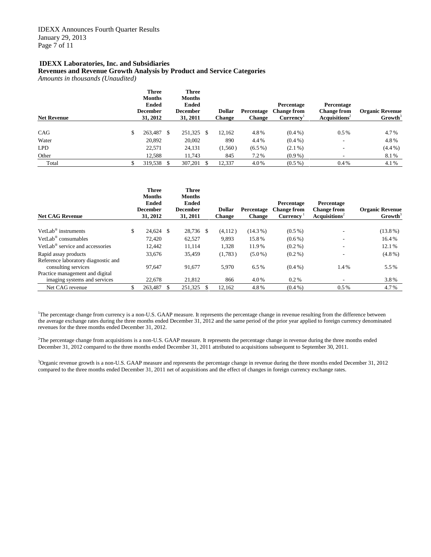**Revenues and Revenue Growth Analysis by Product and Service Categories**

*Amounts in thousands (Unaudited)*

|                    | Three<br><b>Months</b><br><b>Ended</b><br>December | Three<br><b>Months</b><br><b>Ended</b><br><b>December</b> | <b>Dollar</b> | Percentage    | Percentage<br><b>Change from</b> | Percentage<br><b>Change from</b> | <b>Organic Revenue</b> |
|--------------------|----------------------------------------------------|-----------------------------------------------------------|---------------|---------------|----------------------------------|----------------------------------|------------------------|
| <b>Net Revenue</b> | 31, 2012                                           | 31, 2011                                                  | Change        | <b>Change</b> | Currency <sup>1</sup>            | Acquistions <sup>2</sup>         | Growth <sup>3</sup>    |
| CAG                | 263,487 \$                                         | 251,325 \$                                                | 12,162        | 4.8%          | $(0.4\%)$                        | $0.5\%$                          | 4.7%                   |
| Water              | 20,892                                             | 20,002                                                    | 890           | 4.4%          | $(0.4\%)$                        | $\overline{\phantom{a}}$         | 4.8%                   |
| <b>LPD</b>         | 22,571                                             | 24,131                                                    | (1,560)       | $(6.5\%)$     | $(2.1\%)$                        | $\overline{\phantom{a}}$         | $(4.4\%)$              |
| Other              | 12.588                                             | 11.743                                                    | 845           | 7.2%          | $(0.9\%)$                        | $\overline{\phantom{a}}$         | 8.1%                   |
| Total              | 319,538                                            | 307.201                                                   | 12.337        | 4.0%          | $(0.5\%)$                        | 0.4%                             | 4.1%                   |

| <b>Net CAG Revenue</b>                                          | <b>Three</b><br><b>Months</b><br><b>Ended</b><br><b>December</b><br>31, 2012 | <b>Three</b><br><b>Months</b><br><b>Ended</b><br><b>December</b><br>31, 2011 | <b>Dollar</b><br><b>Change</b> | Percentage<br><b>Change</b> | Percentage<br><b>Change from</b><br>Currency | Percentage<br><b>Change from</b><br>Acquistions <sup>2</sup> | <b>Organic Revenue</b><br>Growth <sup>3</sup> |
|-----------------------------------------------------------------|------------------------------------------------------------------------------|------------------------------------------------------------------------------|--------------------------------|-----------------------------|----------------------------------------------|--------------------------------------------------------------|-----------------------------------------------|
|                                                                 |                                                                              |                                                                              |                                |                             |                                              |                                                              |                                               |
| VetLab <sup>®</sup> instruments                                 | \$<br>24,624 \$                                                              | 28,736 \$                                                                    | (4,112)                        | $(14.3\%)$                  | $(0.5\%)$                                    |                                                              | $(13.8\%)$                                    |
| VetLab <sup>®</sup> consumables                                 | 72.420                                                                       | 62,527                                                                       | 9,893                          | 15.8%                       | $(0.6\%)$                                    | $\sim$                                                       | 16.4%                                         |
| VetLab <sup>®</sup> service and accessories                     | 12.442                                                                       | 11,114                                                                       | 1,328                          | 11.9%                       | $(0.2\%)$                                    | ٠.                                                           | 12.1%                                         |
| Rapid assay products                                            | 33,676                                                                       | 35,459                                                                       | (1,783)                        | $(5.0\%)$                   | $(0.2\%)$                                    | -                                                            | $(4.8\%)$                                     |
| Reference laboratory diagnostic and<br>consulting services      | 97,647                                                                       | 91.677                                                                       | 5,970                          | 6.5%                        | $(0.4\%)$                                    | 1.4%                                                         | 5.5%                                          |
| Practice management and digital<br>imaging systems and services | 22,678                                                                       | 21,812                                                                       | 866                            | 4.0%                        | $0.2\%$                                      |                                                              | 3.8%                                          |
| Net CAG revenue                                                 | \$<br>263,487                                                                | 251,325                                                                      | 12,162                         | 4.8%                        | $(0.4\%)$                                    | $0.5\%$                                                      | 4.7%                                          |

<sup>1</sup>The percentage change from currency is a non-U.S. GAAP measure. It represents the percentage change in revenue resulting from the difference between the average exchange rates during the three months ended December 31, 2012 and the same period of the prior year applied to foreign currency denominated revenues for the three months ended December 31, 2012.

<sup>2</sup>The percentage change from acquisitions is a non-U.S. GAAP measure. It represents the percentage change in revenue during the three months ended December 31, 2012 compared to the three months ended December 31, 2011 attributed to acquisitions subsequent to September 30, 2011.

<sup>3</sup>Organic revenue growth is a non-U.S. GAAP measure and represents the percentage change in revenue during the three months ended December 31, 2012 compared to the three months ended December 31, 2011 net of acquisitions and the effect of changes in foreign currency exchange rates.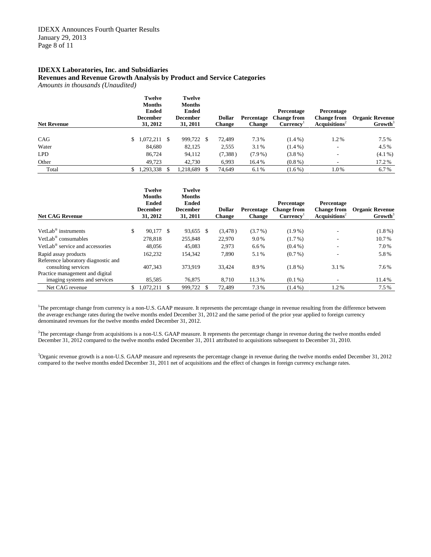**Revenues and Revenue Growth Analysis by Product and Service Categories** *Amounts in thousands (Unaudited)*

**Net Revenue Twelve Months Ended December 31, 2012 Twelve Months Ended December 31, 2011 Dollar Change Percentage Change Percentage Change from Currency**<sup>1</sup> **Percentage Change from Acquisitions**<sup>2</sup> **Organic Revenue Growth**<sup>3</sup> CAG \$ 1,072,211 \$ 999,722 \$ 72,489 7.3 % (1.4 %) 1.2 % 7.5 % Water 84,680 82,125 2,555 3.1 % (1.4 %) - 4.5 % LPD 86,724 94,112  $(7,388)$   $(7.9\%)$   $(3.8\%)$  -  $(4.1\%)$ Other 29,723 42,730 6,993 16.4 %  $(0.8\%)$  - 17.2 % Total  $$ 1,293,338 \$ 1,218,689 \$ 74,649 \t 6.1\% \t (1.6\%) \t 1.0\% \t 6.7\%$ 

| <b>Net CAG Revenue</b>                                          | <b>Twelve</b><br><b>Months</b><br><b>Ended</b><br><b>December</b><br>31, 2012 |     | <b>Twelve</b><br><b>Months</b><br><b>Ended</b><br><b>December</b><br>31, 2011 |    | <b>Dollar</b><br><b>Change</b> | Percentage<br><b>Change</b> | Percentage<br><b>Change from</b><br>Currence <sup>1</sup> | Percentage<br><b>Change from</b><br>Acquisitions <sup>2</sup> | <b>Organic Revenue</b><br>Growth <sup>3</sup> |
|-----------------------------------------------------------------|-------------------------------------------------------------------------------|-----|-------------------------------------------------------------------------------|----|--------------------------------|-----------------------------|-----------------------------------------------------------|---------------------------------------------------------------|-----------------------------------------------|
|                                                                 |                                                                               |     |                                                                               |    |                                |                             |                                                           |                                                               |                                               |
| $VetLab^{\circledast}$ instruments                              | \$<br>90.177                                                                  | -S  | 93,655                                                                        | -S | (3,478)                        | $(3.7\%)$                   | $(1.9\%)$                                                 |                                                               | $(1.8\%)$                                     |
| VetLab <sup>®</sup> consumables                                 | 278,818                                                                       |     | 255,848                                                                       |    | 22,970                         | 9.0%                        | $(1.7\%)$                                                 | $\overline{\phantom{a}}$                                      | 10.7%                                         |
| VetLab <sup>®</sup> service and accessories                     | 48,056                                                                        |     | 45.083                                                                        |    | 2.973                          | 6.6%                        | $(0.4\%)$                                                 | -                                                             | 7.0%                                          |
| Rapid assay products                                            | 162,232                                                                       |     | 154,342                                                                       |    | 7.890                          | 5.1%                        | $(0.7\%)$                                                 | ۰                                                             | 5.8%                                          |
| Reference laboratory diagnostic and<br>consulting services      | 407.343                                                                       |     | 373.919                                                                       |    | 33.424                         | 8.9%                        | $(1.8\%)$                                                 | 3.1%                                                          | 7.6%                                          |
| Practice management and digital<br>imaging systems and services | 85,585                                                                        |     | 76,875                                                                        |    | 8,710                          | 11.3%                       | $(0.1\%)$                                                 | ٠                                                             | 11.4%                                         |
| Net CAG revenue                                                 | 1,072,211                                                                     | \$. | 999,722                                                                       | -S | 72,489                         | 7.3%                        | $(1.4\%)$                                                 | 1.2%                                                          | 7.5%                                          |
|                                                                 |                                                                               |     |                                                                               |    |                                |                             |                                                           |                                                               |                                               |

<sup>1</sup>The percentage change from currency is a non-U.S. GAAP measure. It represents the percentage change in revenue resulting from the difference between the average exchange rates during the twelve months ended December 31, 2012 and the same period of the prior year applied to foreign currency denominated revenues for the twelve months ended December 31, 2012.

2 The percentage change from acquisitions is a non-U.S. GAAP measure. It represents the percentage change in revenue during the twelve months ended December 31, 2012 compared to the twelve months ended December 31, 2011 attributed to acquisitions subsequent to December 31, 2010.

3 Organic revenue growth is a non-U.S. GAAP measure and represents the percentage change in revenue during the twelve months ended December 31, 2012 compared to the twelve months ended December 31, 2011 net of acquisitions and the effect of changes in foreign currency exchange rates.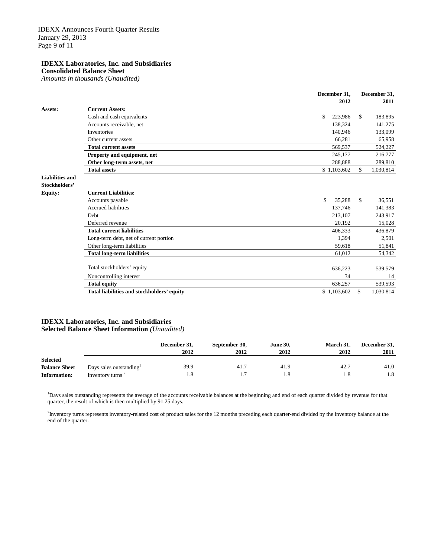**Consolidated Balance Sheet**

*Amounts in thousands (Unaudited)*

|                        |                                            | December 31,  | December 31,    |
|------------------------|--------------------------------------------|---------------|-----------------|
|                        |                                            | 2012          | 2011            |
| Assets:                | <b>Current Assets:</b>                     |               |                 |
|                        | Cash and cash equivalents                  | \$<br>223,986 | \$<br>183,895   |
|                        | Accounts receivable, net                   | 138,324       | 141,275         |
|                        | Inventories                                | 140.946       | 133,099         |
|                        | Other current assets                       | 66,281        | 65,958          |
|                        | <b>Total current assets</b>                | 569,537       | 524,227         |
|                        | Property and equipment, net                | 245,177       | 216,777         |
|                        | Other long-term assets, net                | 288,888       | 289,810         |
|                        | <b>Total assets</b>                        | \$1,103,602   | 1,030,814<br>\$ |
| <b>Liabilities and</b> |                                            |               |                 |
| Stockholders'          |                                            |               |                 |
| <b>Equity:</b>         | <b>Current Liabilities:</b>                |               |                 |
|                        | Accounts payable                           | \$<br>35,288  | \$<br>36,551    |
|                        | <b>Accrued liabilities</b>                 | 137,746       | 141,383         |
|                        | <b>Debt</b>                                | 213,107       | 243,917         |
|                        | Deferred revenue                           | 20.192        | 15,028          |
|                        | <b>Total current liabilities</b>           | 406,333       | 436,879         |
|                        | Long-term debt, net of current portion     | 1.394         | 2,501           |
|                        | Other long-term liabilities                | 59,618        | 51,841          |
|                        | <b>Total long-term liabilities</b>         | 61,012        | 54,342          |
|                        |                                            |               |                 |
|                        | Total stockholders' equity                 | 636,223       | 539,579         |
|                        | Noncontrolling interest                    | 34            | 14              |
|                        | <b>Total equity</b>                        | 636,257       | 539,593         |
|                        | Total liabilities and stockholders' equity | \$1,103,602   | \$<br>1,030,814 |

#### **IDEXX Laboratories, Inc. and Subsidiaries Selected Balance Sheet Information** *(Unaudited)*

|                      |                               | December 31,<br>2012 | September 30,<br>2012 | <b>June 30,</b><br>2012 | March 31,<br>2012 | December 31,<br>2011 |
|----------------------|-------------------------------|----------------------|-----------------------|-------------------------|-------------------|----------------------|
| <b>Selected</b>      |                               |                      |                       |                         |                   |                      |
| <b>Balance Sheet</b> | Days sales outstanding        | 39.9                 | 41.7                  | 41.9                    | 42.7              | 41.0                 |
| <b>Information:</b>  | Inventory turns $\frac{2}{3}$ | 1.8                  |                       | 1.8                     | 1.8               | 1.8                  |

<sup>1</sup>Days sales outstanding represents the average of the accounts receivable balances at the beginning and end of each quarter divided by revenue for that quarter, the result of which is then multiplied by 91.25 days.

2 Inventory turns represents inventory-related cost of product sales for the 12 months preceding each quarter-end divided by the inventory balance at the end of the quarter.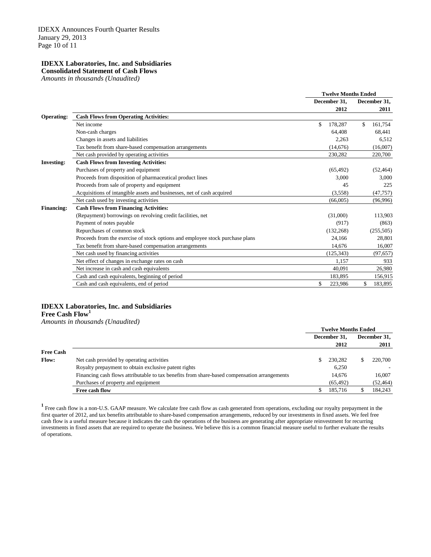**Consolidated Statement of Cash Flows**

*Amounts in thousands (Unaudited)*

|                   |                                                                               | <b>Twelve Months Ended</b> |               |
|-------------------|-------------------------------------------------------------------------------|----------------------------|---------------|
|                   |                                                                               | December 31,               | December 31,  |
|                   |                                                                               | 2012                       | 2011          |
| <b>Operating:</b> | <b>Cash Flows from Operating Activities:</b>                                  |                            |               |
|                   | Net income                                                                    | \$<br>178,287              | 161,754<br>\$ |
|                   | Non-cash charges                                                              | 64.408                     | 68,441        |
|                   | Changes in assets and liabilities                                             | 2.263                      | 6,512         |
|                   | Tax benefit from share-based compensation arrangements                        | (14,676)                   | (16,007)      |
|                   | Net cash provided by operating activities                                     | 230,282                    | 220,700       |
| <b>Investing:</b> | <b>Cash Flows from Investing Activities:</b>                                  |                            |               |
|                   | Purchases of property and equipment                                           | (65, 492)                  | (52, 464)     |
|                   | Proceeds from disposition of pharmaceutical product lines                     | 3,000                      | 3,000         |
|                   | Proceeds from sale of property and equipment                                  | 45                         | 225           |
|                   | Acquisitions of intangible assets and businesses, net of cash acquired        | (3,558)                    | (47, 757)     |
|                   | Net cash used by investing activities                                         | (66,005)                   | (96,996)      |
| <b>Financing:</b> | <b>Cash Flows from Financing Activities:</b>                                  |                            |               |
|                   | (Repayment) borrowings on revolving credit facilities, net                    | (31,000)                   | 113,903       |
|                   | Payment of notes payable                                                      | (917)                      | (863)         |
|                   | Repurchases of common stock                                                   | (132, 268)                 | (255, 505)    |
|                   | Proceeds from the exercise of stock options and employee stock purchase plans | 24,166                     | 28,801        |
|                   | Tax benefit from share-based compensation arrangements                        | 14.676                     | 16.007        |
|                   | Net cash used by financing activities                                         | (125, 343)                 | (97, 657)     |
|                   | Net effect of changes in exchange rates on cash                               | 1,157                      | 933           |
|                   | Net increase in cash and cash equivalents                                     | 40.091                     | 26,980        |
|                   | Cash and cash equivalents, beginning of period                                | 183,895                    | 156,915       |
|                   | Cash and cash equivalents, end of period                                      | \$<br>223,986              | 183,895       |
|                   |                                                                               |                            |               |

## **IDEXX Laboratories, Inc. and Subsidiaries**

**Free Cash Flow<sup>1</sup>**

*Amounts in thousands (Unaudited)*

|                  |                                                                                              |    | <b>Twelve Months Ended</b><br>December 31,<br>December 31, |   |           |  |
|------------------|----------------------------------------------------------------------------------------------|----|------------------------------------------------------------|---|-----------|--|
|                  |                                                                                              |    |                                                            |   |           |  |
|                  |                                                                                              |    | 2012                                                       |   | 2011      |  |
| <b>Free Cash</b> |                                                                                              |    |                                                            |   |           |  |
| <b>Flow:</b>     | Net cash provided by operating activities                                                    | S. | 230.282                                                    | S | 220,700   |  |
|                  | Royalty prepayment to obtain exclusive patent rights                                         |    | 6,250                                                      |   |           |  |
|                  | Financing cash flows attributable to tax benefits from share-based compensation arrangements |    | 14.676                                                     |   | 16.007    |  |
|                  | Purchases of property and equipment                                                          |    | (65, 492)                                                  |   | (52, 464) |  |
|                  | Free cash flow                                                                               |    | 185,716                                                    |   | 184,243   |  |

<sup>1</sup> Free cash flow is a non-U.S. GAAP measure. We calculate free cash flow as cash generated from operations, excluding our royalty prepayment in the first quarter of 2012, and tax benefits attributable to share-based compensation arrangements, reduced by our investments in fixed assets. We feel free cash flow is a useful measure because it indicates the cash the operations of the business are generating after appropriate reinvestment for recurring investments in fixed assets that are required to operate the business. We believe this is a common financial measure useful to further evaluate the results of operations.